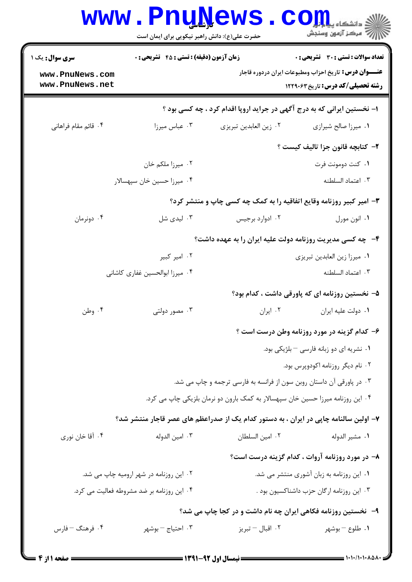|                                            | <b>www.PnuNews</b><br>حضرت علی(ع): دانش راهبر نیکویی برای ایمان است |                                                                                      | د دانشڪاء پيد <mark>م لور</mark><br>(7 مرڪز آزمون وسنڊش                                                   |  |  |
|--------------------------------------------|---------------------------------------------------------------------|--------------------------------------------------------------------------------------|-----------------------------------------------------------------------------------------------------------|--|--|
| <b>سری سوال :</b> یک ۱                     | زمان آزمون (دقیقه) : تستی : 45 آتشریحی : 0                          |                                                                                      | تعداد سوالات : تستي : 30 ٪ تشريحي : 0                                                                     |  |  |
| www.PnuNews.com<br>www.PnuNews.net         |                                                                     |                                                                                      | <b>عنـــوان درس :</b> تاریخ احزاب ومطبوعات ایران دردوره قاجار<br><b>رشته تحصیلی/کد درس:</b> تاریخ ۱۲۲۹۰۶۳ |  |  |
|                                            |                                                                     | ا– نخستین ایرانی که به درج آگهی در جراید اروپا اقدام کرد ، چه کسی بود ؟              |                                                                                                           |  |  |
| ۰۴ قائم مقام فراهانی                       | ۰۳ عباس میرزا                                                       | ٠٢ زين العابدين تبريزي                                                               | ٠١. ميرزا صالح شيرازي                                                                                     |  |  |
|                                            |                                                                     |                                                                                      | ۲– کتابچه قانون جزا تالیف کیست ؟                                                                          |  |  |
|                                            | ۰۲ میرزا ملکم خان                                                   |                                                                                      | ۰۱ كنت دومونت فرت                                                                                         |  |  |
|                                            | ۴. میرزا حسین خان سپهسالار                                          |                                                                                      | ٠٣ اعتماد السلطنه                                                                                         |  |  |
|                                            |                                                                     | ۳- امیر کبیر روزنامه وقایع اتفاقیه را به کمک چه کسی چاپ و منتشر کرد؟                 |                                                                                                           |  |  |
| ۰۴ دونرمان                                 | ۰۳ لیدی شل                                                          | ۰۲ ادوارد برجيس                                                                      | ٠١. انون مورل                                                                                             |  |  |
|                                            | ۴- چه کسی مدیریت روزنامه دولت علیه ایران را به عهده داشت؟           |                                                                                      |                                                                                                           |  |  |
|                                            | ۰۲ امیر کبیر                                                        |                                                                                      | ٠١ ميرزا زين العابدين تبريزي                                                                              |  |  |
|                                            | ۰۴ میرزا ابوالحسین غفاری کاشانی                                     |                                                                                      | ۰۳ اعتماد السلطنه                                                                                         |  |  |
|                                            |                                                                     |                                                                                      | ۵– نخستین روزنامه ای که پاورقی داشت ، کدام بود؟                                                           |  |  |
| ۰۴ وطن                                     | ۰۳ مصور دولتی                                                       | ۰۲ ایران                                                                             | ٠١ دولت عليه ايران                                                                                        |  |  |
|                                            |                                                                     |                                                                                      | ۶– کدام گزینه در مورد روزنامه وطن درست است ؟                                                              |  |  |
|                                            |                                                                     |                                                                                      | ۰۱ نشریه ای دو زبانه فارسی <sup>—</sup> بلژیکی بود.                                                       |  |  |
|                                            |                                                                     |                                                                                      | ۰۲ نام دیگر روزنامه اکودوپرس بود.                                                                         |  |  |
|                                            |                                                                     | ۰۳ در پاورقی آن داستان روبن سون از فرانسه به فارسی ترجمه و چاپ می شد.                |                                                                                                           |  |  |
|                                            |                                                                     | ۰۴ این روزنامه میرزا حسین خان سپهسالار به کمک بارون دو نرمان بلزیکی چاپ می کرد.      |                                                                                                           |  |  |
|                                            |                                                                     | ۷– اولین سالنامه چاپی در ایران ، به دستور کدام یک از صدراعظم های عصر قاجار منتشر شد؟ |                                                                                                           |  |  |
| ۰۴ آقا خان نوري                            | ۰۳ امين الدوله                                                      | ٠٢ امين السلطان                                                                      | ۰۱ مشير الدوله                                                                                            |  |  |
|                                            |                                                                     |                                                                                      | ۸– در مورد روزنامه آروات ، کدام گزینه درست است؟                                                           |  |  |
| ۰۲ این روزنامه در شهر ارومیه چاپ می شد.    |                                                                     |                                                                                      | ۰۱ این روزنامه به زبان آشوری منتشر می شد.                                                                 |  |  |
| ۰۴ این روزنامه بر ضد مشروطه فعالیت می کرد. |                                                                     |                                                                                      | ۰۳ این روزنامه ارگان حزب داشناکسیون بود.                                                                  |  |  |
|                                            |                                                                     | ۹- نخستین روزنامه فکاهی ایران چه نام داشت و در کجا چاپ می شد؟                        |                                                                                                           |  |  |
| ۰۴ فرهنگ – فارس                            | ۰۳ احتياج – بوشهر                                                   | ۰۲ اقبال – تبريز                                                                     | ٠١. طلوع – بوشهر                                                                                          |  |  |
|                                            |                                                                     |                                                                                      |                                                                                                           |  |  |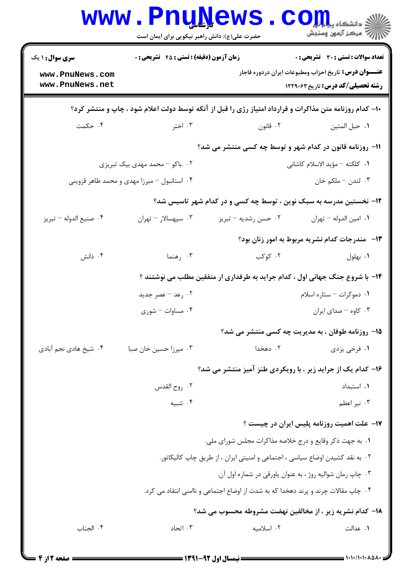| <b>سری سوال : ۱ یک</b>                                                                                          | زمان آزمون (دقیقه) : تستی : 45 آتشریحی : 0<br><b>تعداد سوالات : تستی : 30 ٪ تشریحی : 0</b> |                                                                              |                                                                                                          |  |  |
|-----------------------------------------------------------------------------------------------------------------|--------------------------------------------------------------------------------------------|------------------------------------------------------------------------------|----------------------------------------------------------------------------------------------------------|--|--|
| www.PnuNews.com<br>www.PnuNews.net                                                                              |                                                                                            |                                                                              | <b>عنـــوان درس:</b> تاریخ احزاب ومطبوعات ایران دردوره قاجار<br><b>رشته تحصیلی/کد درس: تاریخ ۱۲۲۹۰۶۳</b> |  |  |
| <b>۱۰</b> - کدام روزنامه متن مذاکرات و قرارداد امتیاز رژی را قبل از آنکه توسط دولت اعلام شود ، چاپ و منتشر کرد؟ |                                                                                            |                                                                              |                                                                                                          |  |  |
| ۰۴ حکمت                                                                                                         | ۰۳ اختر                                                                                    | ۰۲ قانون                                                                     | ٠١ حبل المتين                                                                                            |  |  |
|                                                                                                                 |                                                                                            | 11- روزنامه قانون در کدام شهر و توسط چه کسی منتشر می شد؟                     |                                                                                                          |  |  |
|                                                                                                                 | ۰۲ .باکو – محمد مهدی بیک تبریزی                                                            |                                                                              | 1. كلكته – مؤيد الاسلام كاشانى                                                                           |  |  |
| ۰۴ استانبول – میرزا مهدی و محمد طاهر قزوینی                                                                     |                                                                                            |                                                                              | ۰۳ لندن – ملکم خان                                                                                       |  |  |
|                                                                                                                 |                                                                                            | ۱۲- نخستین مدرسه به سبک نوین ، توسط چه کسی و در کدام شهر تاسیس شد؟           |                                                                                                          |  |  |
| ۰۴ صنيع الدوله – تبريز                                                                                          | ۰۳ سپهسالار – تهران                                                                        | ۰۲ حسن رشدیه – تبریز                                                         | ٠١. امين الدوله – تهران                                                                                  |  |  |
|                                                                                                                 |                                                                                            |                                                                              | <b>۱۳</b> - مندرجات کدام نشریه مربوط به امور زنان بود؟                                                   |  |  |
| ۰۴ دانش                                                                                                         | ۰۳ رهنما                                                                                   | ۰۲ کوکب                                                                      | ٠١. بهلول                                                                                                |  |  |
|                                                                                                                 |                                                                                            | ۱۴- با شروع جنگ جهانی اول ، کدام جراید به طرفداری ار متفقین مطلب می نوشتند ؟ |                                                                                                          |  |  |
|                                                                                                                 | ۰۲ رعد – عصر جدید                                                                          |                                                                              | ۰۱ دموکرات - ستاره اسلام                                                                                 |  |  |
|                                                                                                                 | ۰۴ مساوات - شوری                                                                           |                                                                              | ۰۳ کاوه - صدای ایران                                                                                     |  |  |
|                                                                                                                 |                                                                                            |                                                                              | 15- روزنامه طوفان ، به مدیریت چه کسی منتشر می شد؟                                                        |  |  |
| ۰۴ شیخ هادی نجم آبادی                                                                                           | ۰۳ میرزا حسین خان صبا                                                                      | ۰۲ دهخدا                                                                     | ۰۱ فرخی یزدی                                                                                             |  |  |
|                                                                                                                 |                                                                                            | ۱۶- کدام یک از جراید زیر ، با رویکردی طنز آمیز منتشر می شد؟                  |                                                                                                          |  |  |
|                                                                                                                 | ۰۲ روح القدس                                                                               |                                                                              | ٠١. استبداد                                                                                              |  |  |
|                                                                                                                 | ۰۴ تنبیه                                                                                   |                                                                              | ۰۳ نیر اعظم                                                                                              |  |  |
|                                                                                                                 |                                                                                            |                                                                              | ۱۷– علت اهمیت روزنامه پلیس ایران در چیست ؟                                                               |  |  |
| ۰۱ به جهت ذکر وقایع و درج خلاصه مذاکرات مجلس شورای ملی.                                                         |                                                                                            |                                                                              |                                                                                                          |  |  |
| ۰۲ به نقد کشیدن اوضاع سیاسی ، اجتماعی و امنیتی ایران ، از طریق چاپ کالیکاتور.                                   |                                                                                            |                                                                              |                                                                                                          |  |  |
|                                                                                                                 |                                                                                            | ٠٣ چاپ رمان شواليه روژ ، به عنوان پاورقي در شماره اول آن.                    |                                                                                                          |  |  |
| ۰۴ چاپ مقالات چرند و پرند دهخدا که به شدت از اوضاع اجتماعی و ناامنی انتقاد می کرد.                              |                                                                                            |                                                                              |                                                                                                          |  |  |
|                                                                                                                 |                                                                                            | ۱۸- کدام نشریه زیر ، از مخالفین نهضت مشروطه محسوب می شد؟                     |                                                                                                          |  |  |
| ۰۴ الجناب                                                                                                       | ۰۳ اتحاد                                                                                   | ۰۲ اسلامیه                                                                   | ٠١. عدالت                                                                                                |  |  |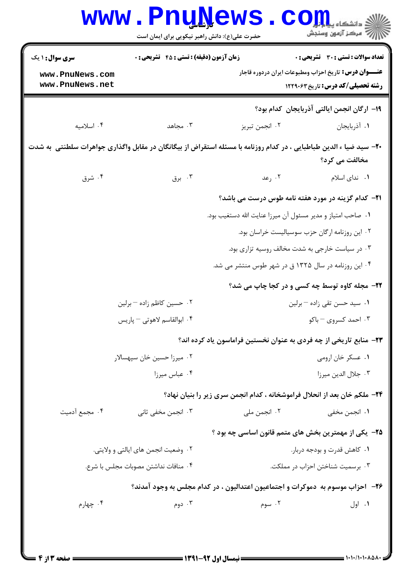| زمان آزمون (دقیقه) : تستی : 45 گتشریحی : 0<br><b>تعداد سوالات : تستی : 30 ٪ تشریحی : 0</b><br><b>عنـــوان درس:</b> تاریخ احزاب ومطبوعات ایران دردوره قاجار<br><b>رشته تحصیلی/کد درس:</b> تاریخ ۱۲۲۹۰۶۳<br>1۹– ارگان انجمن ایالتی آذربایجان کدام بود؟<br>۰۳ مجاهد<br>۰۲ انجمن تبريز<br>٠١. أذربايجان<br>+۲- سید ضیا ء الدین طباطبایی ، در کدام روزنامه با مسئله استقراض از بیگانگان در مقابل واگذاری جواهرات سلطنتی ًبه شدت<br>مخالفت می کرد؟<br>۰۳ برق<br>۰۴ شرق<br>۰۲ رعد<br>۰۱ ندای اسلام<br><b>۲۱</b> – کدام گزینه در مورد هفته نامه طوس درست می باشد؟<br>٠١ صاحب امتياز و مدير مسئول آن ميرزا عنايت الله دستغيب بود.<br>۰۲ این روزنامه ارگان حزب سوسیالیست خراسان بود.<br>۰۳ در سیاست خارجی به شدت مخالف روسیه تزاری بود.<br>۰۴ این روزنامه در سال ۱۳۲۵ ق در شهر طوس منتشر می شد.<br><b>۲۲- مجله کاوه توسط چه کسی و در کجا چاپ می شد</b> ؟<br>۰۲ حسین کاظم زاده – برلین<br>۰۱ سید حسن تقی زاده – برلین<br>۰۴ ابوالقاسم لاهوتي – پاريس<br>۰۳ احمد کسروی – باکو<br><b>۲۳</b> - منابع تاریخی از چه فردی به عنوان نخستین فراماسون یاد کرده اند؟<br>۰۱ عسکر خان ارومي<br>۰۲ میرزا حسین خان سپهسالار<br>۰۴ عباس ميرزا<br>٠٣ جلال الدين ميرزا<br>۲۴- ملکم خان بعد از انحلال فراموشخانه ، کدام انجمن سری زیر را بنیان نهاد؟<br>۰۲ انجمن ملی<br>۰۳ انجمن مخفی ثانی<br>۰۱ انجمن مخف <i>ی</i><br><b>۲۵</b> - یکی از مهمترین بخش های متمم قانون اساسی چه بود ؟ |                                                              | <b>www.PnuNews</b><br>حضرت علی(ع): دانش راهبر نیکویی برای ایمان است |  | الا دانشگاه پیا <mark>برابر</mark><br>اگر دانشگاه پیا بالله بالله بالله بالله بالله بالله بالله بالله بالله بالله بالله بالله بالله بالله بالله بالل |
|--------------------------------------------------------------------------------------------------------------------------------------------------------------------------------------------------------------------------------------------------------------------------------------------------------------------------------------------------------------------------------------------------------------------------------------------------------------------------------------------------------------------------------------------------------------------------------------------------------------------------------------------------------------------------------------------------------------------------------------------------------------------------------------------------------------------------------------------------------------------------------------------------------------------------------------------------------------------------------------------------------------------------------------------------------------------------------------------------------------------------------------------------------------------------------------------------------------------------------------------------------------------------------------------------------------------------------------------------------|--------------------------------------------------------------|---------------------------------------------------------------------|--|------------------------------------------------------------------------------------------------------------------------------------------------------|
|                                                                                                                                                                                                                                                                                                                                                                                                                                                                                                                                                                                                                                                                                                                                                                                                                                                                                                                                                                                                                                                                                                                                                                                                                                                                                                                                                        | <b>سری سوال : ۱ یک</b><br>www.PnuNews.com<br>www.PnuNews.net |                                                                     |  |                                                                                                                                                      |
|                                                                                                                                                                                                                                                                                                                                                                                                                                                                                                                                                                                                                                                                                                                                                                                                                                                                                                                                                                                                                                                                                                                                                                                                                                                                                                                                                        |                                                              |                                                                     |  |                                                                                                                                                      |
|                                                                                                                                                                                                                                                                                                                                                                                                                                                                                                                                                                                                                                                                                                                                                                                                                                                                                                                                                                                                                                                                                                                                                                                                                                                                                                                                                        | ۰۴ اسلاميه                                                   |                                                                     |  |                                                                                                                                                      |
|                                                                                                                                                                                                                                                                                                                                                                                                                                                                                                                                                                                                                                                                                                                                                                                                                                                                                                                                                                                                                                                                                                                                                                                                                                                                                                                                                        |                                                              |                                                                     |  |                                                                                                                                                      |
|                                                                                                                                                                                                                                                                                                                                                                                                                                                                                                                                                                                                                                                                                                                                                                                                                                                                                                                                                                                                                                                                                                                                                                                                                                                                                                                                                        |                                                              |                                                                     |  |                                                                                                                                                      |
|                                                                                                                                                                                                                                                                                                                                                                                                                                                                                                                                                                                                                                                                                                                                                                                                                                                                                                                                                                                                                                                                                                                                                                                                                                                                                                                                                        |                                                              |                                                                     |  |                                                                                                                                                      |
|                                                                                                                                                                                                                                                                                                                                                                                                                                                                                                                                                                                                                                                                                                                                                                                                                                                                                                                                                                                                                                                                                                                                                                                                                                                                                                                                                        |                                                              |                                                                     |  |                                                                                                                                                      |
|                                                                                                                                                                                                                                                                                                                                                                                                                                                                                                                                                                                                                                                                                                                                                                                                                                                                                                                                                                                                                                                                                                                                                                                                                                                                                                                                                        |                                                              |                                                                     |  |                                                                                                                                                      |
|                                                                                                                                                                                                                                                                                                                                                                                                                                                                                                                                                                                                                                                                                                                                                                                                                                                                                                                                                                                                                                                                                                                                                                                                                                                                                                                                                        |                                                              |                                                                     |  |                                                                                                                                                      |
|                                                                                                                                                                                                                                                                                                                                                                                                                                                                                                                                                                                                                                                                                                                                                                                                                                                                                                                                                                                                                                                                                                                                                                                                                                                                                                                                                        |                                                              |                                                                     |  |                                                                                                                                                      |
|                                                                                                                                                                                                                                                                                                                                                                                                                                                                                                                                                                                                                                                                                                                                                                                                                                                                                                                                                                                                                                                                                                                                                                                                                                                                                                                                                        |                                                              |                                                                     |  |                                                                                                                                                      |
|                                                                                                                                                                                                                                                                                                                                                                                                                                                                                                                                                                                                                                                                                                                                                                                                                                                                                                                                                                                                                                                                                                                                                                                                                                                                                                                                                        |                                                              |                                                                     |  |                                                                                                                                                      |
|                                                                                                                                                                                                                                                                                                                                                                                                                                                                                                                                                                                                                                                                                                                                                                                                                                                                                                                                                                                                                                                                                                                                                                                                                                                                                                                                                        |                                                              |                                                                     |  |                                                                                                                                                      |
|                                                                                                                                                                                                                                                                                                                                                                                                                                                                                                                                                                                                                                                                                                                                                                                                                                                                                                                                                                                                                                                                                                                                                                                                                                                                                                                                                        |                                                              |                                                                     |  |                                                                                                                                                      |
|                                                                                                                                                                                                                                                                                                                                                                                                                                                                                                                                                                                                                                                                                                                                                                                                                                                                                                                                                                                                                                                                                                                                                                                                                                                                                                                                                        |                                                              |                                                                     |  |                                                                                                                                                      |
|                                                                                                                                                                                                                                                                                                                                                                                                                                                                                                                                                                                                                                                                                                                                                                                                                                                                                                                                                                                                                                                                                                                                                                                                                                                                                                                                                        |                                                              |                                                                     |  |                                                                                                                                                      |
|                                                                                                                                                                                                                                                                                                                                                                                                                                                                                                                                                                                                                                                                                                                                                                                                                                                                                                                                                                                                                                                                                                                                                                                                                                                                                                                                                        |                                                              |                                                                     |  |                                                                                                                                                      |
|                                                                                                                                                                                                                                                                                                                                                                                                                                                                                                                                                                                                                                                                                                                                                                                                                                                                                                                                                                                                                                                                                                                                                                                                                                                                                                                                                        | ۰۴ مجمع آدمیت                                                |                                                                     |  |                                                                                                                                                      |
|                                                                                                                                                                                                                                                                                                                                                                                                                                                                                                                                                                                                                                                                                                                                                                                                                                                                                                                                                                                                                                                                                                                                                                                                                                                                                                                                                        |                                                              |                                                                     |  |                                                                                                                                                      |
| ۰۱ کاهش قدرت و بودجه دربار.<br>۰۲ وضعیت انجمن های ایالتی و ولایتی.                                                                                                                                                                                                                                                                                                                                                                                                                                                                                                                                                                                                                                                                                                                                                                                                                                                                                                                                                                                                                                                                                                                                                                                                                                                                                     |                                                              |                                                                     |  |                                                                                                                                                      |
| ۰۴ منافات نداشتن مصوبات مجلس با شرع.<br>۰۳ برسمیت شناختن احزاب در مملکت.                                                                                                                                                                                                                                                                                                                                                                                                                                                                                                                                                                                                                                                                                                                                                                                                                                                                                                                                                                                                                                                                                                                                                                                                                                                                               |                                                              |                                                                     |  |                                                                                                                                                      |
| ۲۶-۔ احزاب موسوم به  دموکرات و اجتماعیون اعتدالیون ، در کدام مجلس به وجود آمدند؟                                                                                                                                                                                                                                                                                                                                                                                                                                                                                                                                                                                                                                                                                                                                                                                                                                                                                                                                                                                                                                                                                                                                                                                                                                                                       |                                                              |                                                                     |  |                                                                                                                                                      |
| ۰۴ چهارم<br>۰۲ سوم<br>۰۱ اول<br>۰۳ دوم                                                                                                                                                                                                                                                                                                                                                                                                                                                                                                                                                                                                                                                                                                                                                                                                                                                                                                                                                                                                                                                                                                                                                                                                                                                                                                                 |                                                              |                                                                     |  |                                                                                                                                                      |